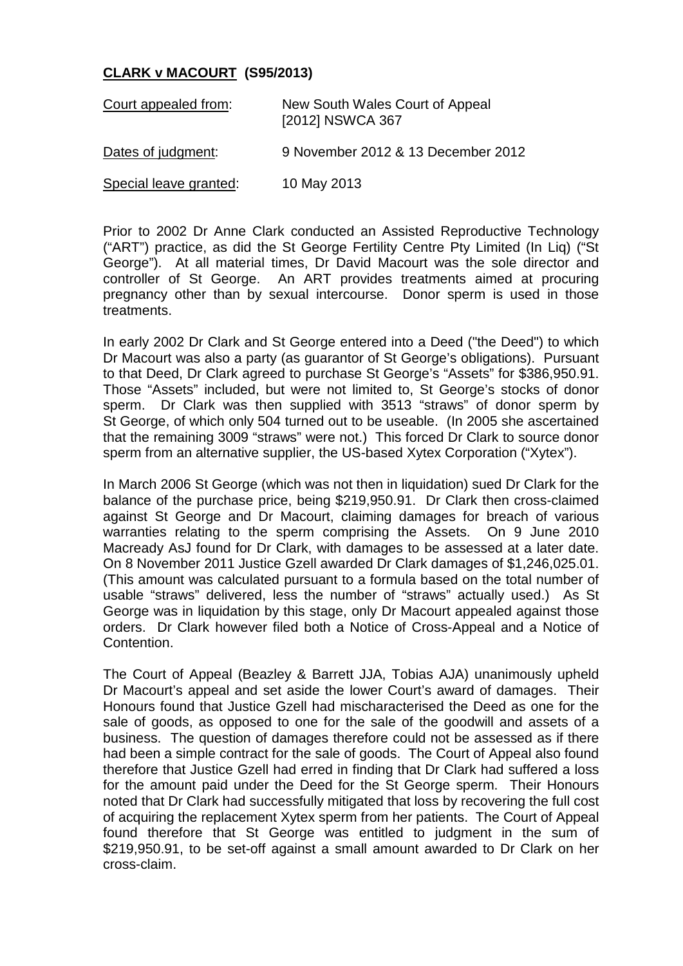## **CLARK v MACOURT (S95/2013)**

| Court appealed from:   | New South Wales Court of Appeal<br>[2012] NSWCA 367 |
|------------------------|-----------------------------------------------------|
| Dates of judgment:     | 9 November 2012 & 13 December 2012                  |
| Special leave granted: | 10 May 2013                                         |

Prior to 2002 Dr Anne Clark conducted an Assisted Reproductive Technology ("ART") practice, as did the St George Fertility Centre Pty Limited (In Liq) ("St George"). At all material times, Dr David Macourt was the sole director and controller of St George. An ART provides treatments aimed at procuring pregnancy other than by sexual intercourse. Donor sperm is used in those treatments.

In early 2002 Dr Clark and St George entered into a Deed ("the Deed") to which Dr Macourt was also a party (as guarantor of St George's obligations). Pursuant to that Deed, Dr Clark agreed to purchase St George's "Assets" for \$386,950.91. Those "Assets" included, but were not limited to, St George's stocks of donor sperm. Dr Clark was then supplied with 3513 "straws" of donor sperm by St George, of which only 504 turned out to be useable. (In 2005 she ascertained that the remaining 3009 "straws" were not.) This forced Dr Clark to source donor sperm from an alternative supplier, the US-based Xytex Corporation ("Xytex").

In March 2006 St George (which was not then in liquidation) sued Dr Clark for the balance of the purchase price, being \$219,950.91. Dr Clark then cross-claimed against St George and Dr Macourt, claiming damages for breach of various warranties relating to the sperm comprising the Assets. On 9 June 2010 Macready AsJ found for Dr Clark, with damages to be assessed at a later date. On 8 November 2011 Justice Gzell awarded Dr Clark damages of \$1,246,025.01. (This amount was calculated pursuant to a formula based on the total number of usable "straws" delivered, less the number of "straws" actually used.) As St George was in liquidation by this stage, only Dr Macourt appealed against those orders. Dr Clark however filed both a Notice of Cross-Appeal and a Notice of Contention.

The Court of Appeal (Beazley & Barrett JJA, Tobias AJA) unanimously upheld Dr Macourt's appeal and set aside the lower Court's award of damages. Their Honours found that Justice Gzell had mischaracterised the Deed as one for the sale of goods, as opposed to one for the sale of the goodwill and assets of a business. The question of damages therefore could not be assessed as if there had been a simple contract for the sale of goods. The Court of Appeal also found therefore that Justice Gzell had erred in finding that Dr Clark had suffered a loss for the amount paid under the Deed for the St George sperm. Their Honours noted that Dr Clark had successfully mitigated that loss by recovering the full cost of acquiring the replacement Xytex sperm from her patients. The Court of Appeal found therefore that St George was entitled to judgment in the sum of \$219,950.91, to be set-off against a small amount awarded to Dr Clark on her cross-claim.